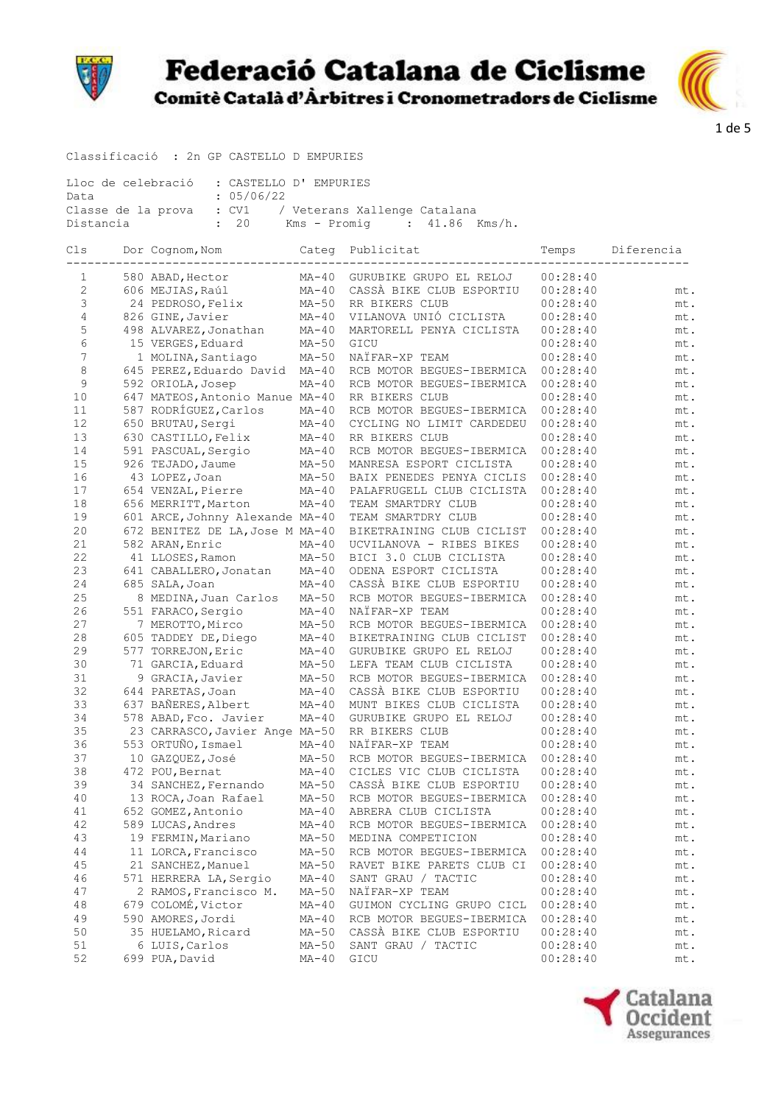



Classificació : 2n GP CASTELLO D EMPURIES

| Lloc de celebració : CASTELLO D'EMPURIES              |                                    |  |  |  |
|-------------------------------------------------------|------------------------------------|--|--|--|
| Data                                                  | : 05/06/22                         |  |  |  |
| Classe de la prova : CV1 / Veterans Xallenge Catalana |                                    |  |  |  |
| Distancia                                             | : 20 Kms – Promig   : 41.86 Kms/h. |  |  |  |

| Cls | Dor Cognom, Nom                 | Categ   | Publicitat                | Temps    | Diferencia |
|-----|---------------------------------|---------|---------------------------|----------|------------|
| 1   | 580 ABAD, Hector                | $MA-40$ | GURUBIKE GRUPO EL RELOJ   | 00:28:40 |            |
| 2   | 606 MEJIAS, Raúl                | $MA-40$ | CASSÀ BIKE CLUB ESPORTIU  | 00:28:40 | mt.        |
| 3   | 24 PEDROSO, Felix               | $MA-50$ | RR BIKERS CLUB            | 00:28:40 | mt.        |
| 4   | 826 GINE, Javier                | $MA-40$ | VILANOVA UNIÓ CICLISTA    | 00:28:40 | mt.        |
| 5   | 498 ALVAREZ, Jonathan           | $MA-40$ | MARTORELL PENYA CICLISTA  | 00:28:40 | mt.        |
| 6   | 15 VERGES, Eduard               | $MA-50$ | GICU                      | 00:28:40 | mt.        |
| 7   | 1 MOLINA, Santiago              | $MA-50$ | NAÏFAR-XP TEAM            | 00:28:40 | mt.        |
| 8   | 645 PEREZ, Eduardo David        | $MA-40$ | RCB MOTOR BEGUES-IBERMICA | 00:28:40 | mt.        |
| 9   | 592 ORIOLA, Josep               | $MA-40$ | RCB MOTOR BEGUES-IBERMICA | 00:28:40 | mt.        |
| 10  | 647 MATEOS, Antonio Manue MA-40 |         | RR BIKERS CLUB            | 00:28:40 | mt.        |
| 11  | 587 RODRÍGUEZ, Carlos           | $MA-40$ | RCB MOTOR BEGUES-IBERMICA | 00:28:40 | mt.        |
| 12  | 650 BRUTAU, Sergi               | $MA-40$ | CYCLING NO LIMIT CARDEDEU | 00:28:40 | mt.        |
| 13  | 630 CASTILLO, Felix             | $MA-40$ | RR BIKERS CLUB            | 00:28:40 | mt.        |
| 14  | 591 PASCUAL, Sergio             | $MA-40$ | RCB MOTOR BEGUES-IBERMICA | 00:28:40 | mt.        |
| 15  | 926 TEJADO, Jaume               | $MA-50$ | MANRESA ESPORT CICLISTA   | 00:28:40 | mt.        |
| 16  | 43 LOPEZ, Joan                  | $MA-50$ | BAIX PENEDES PENYA CICLIS | 00:28:40 | mt.        |
| 17  | 654 VENZAL, Pierre              | $MA-40$ | PALAFRUGELL CLUB CICLISTA | 00:28:40 | mt.        |
| 18  | 656 MERRITT, Marton             | $MA-40$ | TEAM SMARTDRY CLUB        | 00:28:40 | mt.        |
| 19  | 601 ARCE, Johnny Alexande MA-40 |         | TEAM SMARTDRY CLUB        | 00:28:40 | mt.        |
| 20  | 672 BENITEZ DE LA, Jose M MA-40 |         | BIKETRAINING CLUB CICLIST | 00:28:40 | mt.        |
| 21  | 582 ARAN, Enric                 | $MA-40$ | UCVILANOVA - RIBES BIKES  | 00:28:40 | mt.        |
| 22  | 41 LLOSES, Ramon                | $MA-50$ | BICI 3.0 CLUB CICLISTA    | 00:28:40 | mt.        |
| 23  | 641 CABALLERO, Jonatan          | $MA-40$ | ODENA ESPORT CICLISTA     | 00:28:40 | mt.        |
| 24  | 685 SALA, Joan                  | $MA-40$ | CASSÀ BIKE CLUB ESPORTIU  | 00:28:40 | mt.        |
| 25  | 8 MEDINA, Juan Carlos           | $MA-50$ | RCB MOTOR BEGUES-IBERMICA | 00:28:40 | mt.        |
| 26  | 551 FARACO, Sergio              | $MA-40$ | NAÏFAR-XP TEAM            | 00:28:40 | mt.        |
| 27  | 7 MEROTTO, Mirco                | $MA-50$ | RCB MOTOR BEGUES-IBERMICA | 00:28:40 | mt.        |
| 28  | 605 TADDEY DE, Diego            | $MA-40$ | BIKETRAINING CLUB CICLIST | 00:28:40 | mt.        |
| 29  | 577 TORREJON, Eric              | $MA-40$ | GURUBIKE GRUPO EL RELOJ   | 00:28:40 | mt.        |
| 30  | 71 GARCIA, Eduard               | $MA-50$ | LEFA TEAM CLUB CICLISTA   | 00:28:40 | mt.        |
| 31  | 9 GRACIA, Javier                | $MA-50$ | RCB MOTOR BEGUES-IBERMICA | 00:28:40 | mt.        |
| 32  | 644 PARETAS, Joan               | $MA-40$ | CASSÀ BIKE CLUB ESPORTIU  | 00:28:40 | mt.        |
| 33  | 637 BAÑERES, Albert             | $MA-40$ | MUNT BIKES CLUB CICLISTA  | 00:28:40 | mt.        |
| 34  | 578 ABAD, Fco. Javier           | $MA-40$ | GURUBIKE GRUPO EL RELOJ   | 00:28:40 | mt.        |
| 35  | 23 CARRASCO, Javier Ange MA-50  |         | RR BIKERS CLUB            | 00:28:40 | mt.        |
| 36  | 553 ORTUÑO, Ismael              | $MA-40$ | NAIFAR-XP TEAM            | 00:28:40 | mt.        |
| 37  | 10 GAZQUEZ, José                | $MA-50$ | RCB MOTOR BEGUES-IBERMICA | 00:28:40 | mt.        |
| 38  | 472 POU, Bernat                 | $MA-40$ | CICLES VIC CLUB CICLISTA  | 00:28:40 | mt.        |
| 39  | 34 SANCHEZ, Fernando            | $MA-50$ | CASSÀ BIKE CLUB ESPORTIU  | 00:28:40 | mt.        |
| 40  | 13 ROCA, Joan Rafael            | $MA-50$ | RCB MOTOR BEGUES-IBERMICA | 00:28:40 | mt.        |
| 41  | 652 GOMEZ, Antonio              | $MA-40$ | ABRERA CLUB CICLISTA      | 00:28:40 | mt.        |
| 42  | 589 LUCAS, Andres               | $MA-40$ | RCB MOTOR BEGUES-IBERMICA | 00:28:40 | mt.        |
| 43  | 19 FERMIN, Mariano              | $MA-50$ | MEDINA COMPETICION        | 00:28:40 | mt.        |
| 44  | 11 LORCA, Francisco             | $MA-50$ | RCB MOTOR BEGUES-IBERMICA | 00:28:40 | mt.        |
| 45  | 21 SANCHEZ, Manuel              | $MA-50$ | RAVET BIKE PARETS CLUB CI | 00:28:40 | mt.        |
| 46  | 571 HERRERA LA, Sergio          | $MA-40$ | SANT GRAU / TACTIC        | 00:28:40 | mt.        |
| 47  | 2 RAMOS, Francisco M.           | $MA-50$ | NAÏFAR-XP TEAM            | 00:28:40 | mt.        |
| 48  | 679 COLOMÉ, Victor              | $MA-40$ | GUIMON CYCLING GRUPO CICL | 00:28:40 | mt.        |
| 49  | 590 AMORES, Jordi               | $MA-40$ | RCB MOTOR BEGUES-IBERMICA | 00:28:40 | mt.        |
| 50  | 35 HUELAMO, Ricard              | $MA-50$ | CASSÀ BIKE CLUB ESPORTIU  | 00:28:40 | mt.        |
| 51  | 6 LUIS, Carlos                  | $MA-50$ | SANT GRAU / TACTIC        | 00:28:40 | mt.        |
| 52  | 699 PUA, David                  | $MA-40$ | GICU                      | 00:28:40 | mt.        |

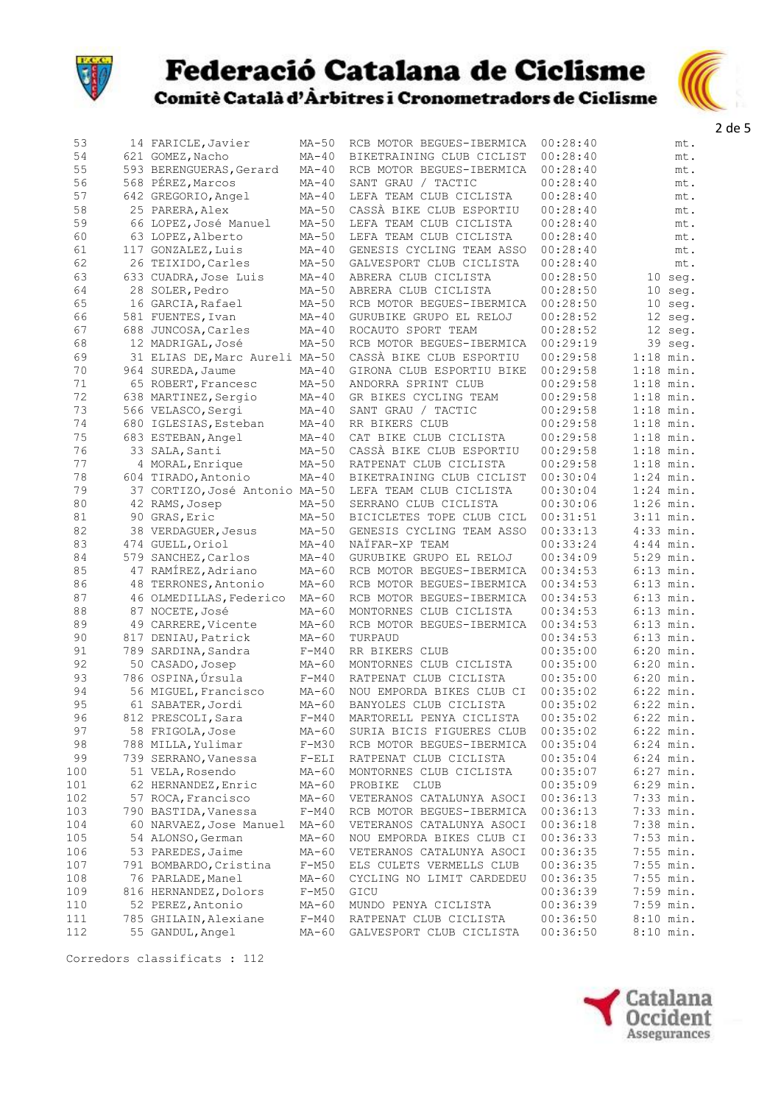



| 53  | 14 FARICLE, Javier             | $MA-50$ | RCB MOTOR BEGUES-IBERMICA                            | 00:28:40 | mt.         |
|-----|--------------------------------|---------|------------------------------------------------------|----------|-------------|
| 54  | 621 GOMEZ, Nacho               | $MA-40$ | BIKETRAINING CLUB CICLIST                            | 00:28:40 | mt.         |
| 55  | 593 BERENGUERAS, Gerard        | $MA-40$ | RCB MOTOR BEGUES-IBERMICA                            | 00:28:40 | mt.         |
| 56  | 568 PÉREZ, Marcos              | $MA-40$ | SANT GRAU / TACTIC                                   | 00:28:40 | mt.         |
| 57  | 642 GREGORIO, Angel            | $MA-40$ | LEFA TEAM CLUB CICLISTA                              | 00:28:40 | mt.         |
| 58  | 25 PARERA, Alex                | $MA-50$ | CASSÀ BIKE CLUB ESPORTIU                             | 00:28:40 | mt.         |
| 59  | 66 LOPEZ, José Manuel          | $MA-50$ | LEFA TEAM CLUB CICLISTA                              | 00:28:40 | mt.         |
| 60  | 63 LOPEZ, Alberto              | $MA-50$ |                                                      | 00:28:40 |             |
| 61  | 117 GONZALEZ, Luis             |         | LEFA TEAM CLUB CICLISTA<br>GENESIS CYCLING TEAM ASSO | 00:28:40 | mt.         |
| 62  |                                | $MA-40$ |                                                      |          | mt.         |
|     | 26 TEIXIDO, Carles             | $MA-50$ | GALVESPORT CLUB CICLISTA                             | 00:28:40 | mt.         |
| 63  | 633 CUADRA, Jose Luis          | $MA-40$ | ABRERA CLUB CICLISTA                                 | 00:28:50 | 10 seg.     |
| 64  | 28 SOLER, Pedro                | $MA-50$ | ABRERA CLUB CICLISTA                                 | 00:28:50 | $10$ seq.   |
| 65  | 16 GARCIA, Rafael              | $MA-50$ | RCB MOTOR BEGUES-IBERMICA                            | 00:28:50 | $10$ seq.   |
| 66  | 581 FUENTES, Ivan              | $MA-40$ | GURUBIKE GRUPO EL RELOJ                              | 00:28:52 | 12 seg.     |
| 67  | 688 JUNCOSA, Carles            | $MA-40$ | ROCAUTO SPORT TEAM                                   | 00:28:52 | 12 seg.     |
| 68  | 12 MADRIGAL, José              | $MA-50$ | RCB MOTOR BEGUES-IBERMICA                            | 00:29:19 | 39 seq.     |
| 69  | 31 ELIAS DE, Marc Aureli MA-50 |         | CASSÀ BIKE CLUB ESPORTIU                             | 00:29:58 | $1:18$ min. |
| 70  | 964 SUREDA, Jaume              | $MA-40$ | GIRONA CLUB ESPORTIU BIKE                            | 00:29:58 | $1:18$ min. |
| 71  | 65 ROBERT, Francesc            | $MA-50$ | ANDORRA SPRINT CLUB                                  | 00:29:58 | $1:18$ min. |
| 72  | 638 MARTINEZ, Sergio           | $MA-40$ | GR BIKES CYCLING TEAM                                | 00:29:58 | $1:18$ min. |
| 73  | 566 VELASCO, Sergi             | $MA-40$ | SANT GRAU / TACTIC                                   | 00:29:58 | $1:18$ min. |
| 74  | 680 IGLESIAS, Esteban          | $MA-40$ | RR BIKERS CLUB                                       | 00:29:58 | $1:18$ min. |
| 75  | 683 ESTEBAN, Angel             | $MA-40$ | CAT BIKE CLUB CICLISTA                               | 00:29:58 | $1:18$ min. |
| 76  | 33 SALA, Santi                 | $MA-50$ | CASSÀ BIKE CLUB ESPORTIU                             | 00:29:58 | $1:18$ min. |
| 77  | 4 MORAL, Enrique               | $MA-50$ | RATPENAT CLUB CICLISTA                               | 00:29:58 | $1:18$ min. |
| 78  | 604 TIRADO, Antonio            | $MA-40$ | BIKETRAINING CLUB CICLIST                            | 00:30:04 | $1:24$ min. |
| 79  | 37 CORTIZO, José Antonio MA-50 |         | LEFA TEAM CLUB CICLISTA                              | 00:30:04 | $1:24$ min. |
| 80  | 42 RAMS, Josep                 | $MA-50$ | SERRANO CLUB CICLISTA                                | 00:30:06 | $1:26$ min. |
| 81  | 90 GRAS, Eric                  | $MA-50$ | BICICLETES TOPE CLUB CICL                            | 00:31:51 | $3:11$ min. |
| 82  | 38 VERDAGUER, Jesus            | $MA-50$ | GENESIS CYCLING TEAM ASSO                            | 00:33:13 | $4:33$ min. |
| 83  | 474 GUELL, Oriol               | $MA-40$ | NAÏFAR-XP TEAM                                       | 00:33:24 | $4:44$ min. |
|     |                                |         |                                                      |          |             |
| 84  | 579 SANCHEZ, Carlos            | $MA-40$ | GURUBIKE GRUPO EL RELOJ                              | 00:34:09 | 5:29 min.   |
| 85  | 47 RAMÍREZ, Adriano            | $MA-60$ | RCB MOTOR BEGUES-IBERMICA                            | 00:34:53 | $6:13$ min. |
| 86  | 48 TERRONES, Antonio           | $MA-60$ | RCB MOTOR BEGUES-IBERMICA                            | 00:34:53 | $6:13$ min. |
| 87  | 46 OLMEDILLAS, Federico        | $MA-60$ | RCB MOTOR BEGUES-IBERMICA                            | 00:34:53 | $6:13$ min. |
| 88  | 87 NOCETE, José                | $MA-60$ | MONTORNES CLUB CICLISTA                              | 00:34:53 | $6:13$ min. |
| 89  | 49 CARRERE, Vicente            | $MA-60$ | RCB MOTOR BEGUES-IBERMICA                            | 00:34:53 | $6:13$ min. |
| 90  | 817 DENIAU, Patrick            | $MA-60$ | TURPAUD                                              | 00:34:53 | $6:13$ min. |
| 91  | 789 SARDINA, Sandra            | $F-M40$ | RR BIKERS CLUB                                       | 00:35:00 | $6:20$ min. |
| 92  | 50 CASADO, Josep               | $MA-60$ | MONTORNES CLUB CICLISTA                              | 00:35:00 | $6:20$ min. |
| 93  | 786 OSPINA, Úrsula             | $F-M40$ | RATPENAT CLUB CICLISTA                               | 00:35:00 | $6:20$ min. |
| 94  | 56 MIGUEL, Francisco           | $MA-60$ | NOU EMPORDA BIKES CLUB CI                            | 00:35:02 | $6:22$ min. |
| 95  | 61 SABATER, Jordi              | $MA-60$ | BANYOLES CLUB CICLISTA                               | 00:35:02 | $6:22$ min. |
| 96  | 812 PRESCOLI, Sara             |         | F-M40 MARTORELL PENYA CICLISTA                       | 00:35:02 | $6:22$ min. |
| 97  | 58 FRIGOLA, Jose               | $MA-60$ | SURIA BICIS FIGUERES CLUB                            | 00:35:02 | $6:22$ min. |
| 98  | 788 MILLA, Yulimar             | $F-M30$ | RCB MOTOR BEGUES-IBERMICA                            | 00:35:04 | $6:24$ min. |
| 99  | 739 SERRANO, Vanessa           | $F-ELI$ | RATPENAT CLUB CICLISTA                               | 00:35:04 | $6:24$ min. |
| 100 | 51 VELA, Rosendo               | MA-60   | MONTORNES CLUB CICLISTA                              | 00:35:07 | $6:27$ min. |
| 101 | 62 HERNANDEZ, Enric            | $MA-60$ | PROBIKE<br>CLUB                                      | 00:35:09 | $6:29$ min. |
| 102 | 57 ROCA, Francisco             | $MA-60$ | VETERANOS CATALUNYA ASOCI                            | 00:36:13 | $7:33$ min. |
| 103 | 790 BASTIDA, Vanessa           | $F-M40$ | RCB MOTOR BEGUES-IBERMICA                            | 00:36:13 | $7:33$ min. |
| 104 | 60 NARVAEZ, Jose Manuel        | $MA-60$ | VETERANOS CATALUNYA ASOCI                            | 00:36:18 | 7:38 min.   |
| 105 | 54 ALONSO, German              | $MA-60$ | NOU EMPORDA BIKES CLUB CI                            | 00:36:33 | $7:53$ min. |
| 106 | 53 PAREDES, Jaime              | $MA-60$ | VETERANOS CATALUNYA ASOCI                            | 00:36:35 | $7:55$ min. |
| 107 | 791 BOMBARDO, Cristina         | $F-M50$ | ELS CULETS VERMELLS CLUB                             | 00:36:35 | 7:55 min.   |
| 108 | 76 PARLADE, Manel              |         | CYCLING NO LIMIT CARDEDEU                            | 00:36:35 | $7:55$ min. |
|     |                                | $MA-60$ |                                                      |          |             |
| 109 | 816 HERNANDEZ, Dolors          | $F-M50$ | GICU                                                 | 00:36:39 | $7:59$ min. |
| 110 | 52 PEREZ, Antonio              | $MA-60$ | MUNDO PENYA CICLISTA                                 | 00:36:39 | $7:59$ min. |
| 111 | 785 GHILAIN, Alexiane          | $F-M40$ | RATPENAT CLUB CICLISTA                               | 00:36:50 | $8:10$ min. |
| 112 | 55 GANDUL, Angel               | $MA-60$ | GALVESPORT CLUB CICLISTA                             | 00:36:50 | $8:10$ min. |

Corredors classificats : 112

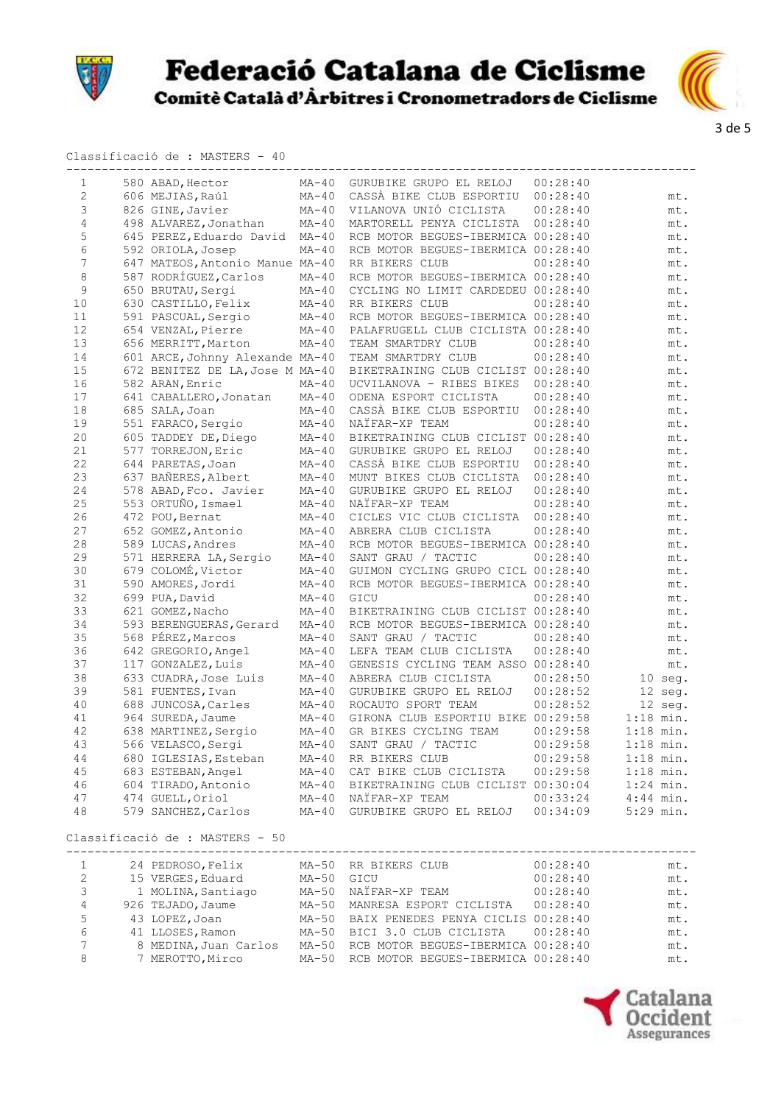



#### Classificació de : MASTERS - 40

| 1              | 580 ABAD, Hector                | $MA-40$ | GURUBIKE GRUPO EL RELOJ            | 00:28:40 |             |
|----------------|---------------------------------|---------|------------------------------------|----------|-------------|
| $\overline{2}$ | 606 MEJIAS, Raúl                | $MA-40$ | CASSÀ BIKE CLUB ESPORTIU           | 00:28:40 | mt.         |
| 3              | 826 GINE, Javier                | $MA-40$ | VILANOVA UNIÓ CICLISTA             | 00:28:40 | mt.         |
| 4              | 498 ALVAREZ, Jonathan           | $MA-40$ | MARTORELL PENYA CICLISTA           | 00:28:40 | mt.         |
| 5              | 645 PEREZ, Eduardo David        | $MA-40$ | RCB MOTOR BEGUES-IBERMICA 00:28:40 |          | mt.         |
| 6              | 592 ORIOLA, Josep               | $MA-40$ | RCB MOTOR BEGUES-IBERMICA 00:28:40 |          | mt.         |
| 7              | 647 MATEOS, Antonio Manue MA-40 |         | RR BIKERS CLUB                     | 00:28:40 | mt.         |
| 8              | 587 RODRÍGUEZ, Carlos           | $MA-40$ | RCB MOTOR BEGUES-IBERMICA 00:28:40 |          | mt.         |
| 9              | 650 BRUTAU, Sergi               | $MA-40$ | CYCLING NO LIMIT CARDEDEU 00:28:40 |          | mt.         |
| 10             | 630 CASTILLO, Felix             | $MA-40$ | RR BIKERS CLUB                     | 00:28:40 | mt.         |
| 11             | 591 PASCUAL, Sergio             | $MA-40$ | RCB MOTOR BEGUES-IBERMICA 00:28:40 |          | mt.         |
| 12             | 654 VENZAL, Pierre              | $MA-40$ | PALAFRUGELL CLUB CICLISTA 00:28:40 |          | mt.         |
| 13             | 656 MERRITT, Marton             | $MA-40$ | TEAM SMARTDRY CLUB                 | 00:28:40 | mt.         |
| 14             | 601 ARCE, Johnny Alexande MA-40 |         | TEAM SMARTDRY CLUB                 | 00:28:40 | mt.         |
| 15             | 672 BENITEZ DE LA, Jose M MA-40 |         | BIKETRAINING CLUB CICLIST 00:28:40 |          | mt.         |
| 16             | 582 ARAN, Enric                 | $MA-40$ | UCVILANOVA - RIBES BIKES           | 00:28:40 | mt.         |
| 17             | 641 CABALLERO, Jonatan          | $MA-40$ | ODENA ESPORT CICLISTA              | 00:28:40 | mt.         |
| 18             | 685 SALA, Joan                  | $MA-40$ | CASSÀ BIKE CLUB ESPORTIU           | 00:28:40 | mt.         |
| 19             | 551 FARACO, Sergio              | $MA-40$ | NAÏFAR-XP TEAM                     | 00:28:40 | mt.         |
| 20             | 605 TADDEY DE, Diego            | $MA-40$ | BIKETRAINING CLUB CICLIST 00:28:40 |          | mt.         |
| 21             | 577 TORREJON, Eric              | $MA-40$ | GURUBIKE GRUPO EL RELOJ            | 00:28:40 | mt.         |
| 22             | 644 PARETAS, Joan               | $MA-40$ | CASSÀ BIKE CLUB ESPORTIU           | 00:28:40 | mt.         |
| 23             | 637 BAÑERES, Albert             | $MA-40$ | MUNT BIKES CLUB CICLISTA           | 00:28:40 | mt.         |
| 24             | 578 ABAD, Fco. Javier           | $MA-40$ | GURUBIKE GRUPO EL RELOJ            | 00:28:40 | mt.         |
| 25             | 553 ORTUÑO, Ismael              | $MA-40$ | NAÏFAR-XP TEAM                     | 00:28:40 | mt.         |
| 26             | 472 POU, Bernat                 | $MA-40$ | CICLES VIC CLUB CICLISTA           | 00:28:40 | mt.         |
| 27             | 652 GOMEZ, Antonio              | $MA-40$ | ABRERA CLUB CICLISTA               | 00:28:40 | mt.         |
| 28             | 589 LUCAS, Andres               | $MA-40$ | RCB MOTOR BEGUES-IBERMICA 00:28:40 |          | mt.         |
| 29             | 571 HERRERA LA, Sergio          | $MA-40$ | SANT GRAU / TACTIC                 | 00:28:40 | mt.         |
| 30             | 679 COLOMÉ, Victor              | $MA-40$ | GUIMON CYCLING GRUPO CICL 00:28:40 |          | mt.         |
| 31             | 590 AMORES, Jordi               | $MA-40$ | RCB MOTOR BEGUES-IBERMICA 00:28:40 |          | mt.         |
| 32             | 699 PUA, David                  | $MA-40$ | GICU                               | 00:28:40 | mt.         |
| 33             | 621 GOMEZ, Nacho                | $MA-40$ | BIKETRAINING CLUB CICLIST 00:28:40 |          | mt.         |
| 34             | 593 BERENGUERAS, Gerard         | $MA-40$ | RCB MOTOR BEGUES-IBERMICA 00:28:40 |          | mt.         |
| 35             | 568 PÉREZ, Marcos               | $MA-40$ | SANT GRAU / TACTIC                 | 00:28:40 | mt.         |
| 36             | 642 GREGORIO, Angel             | $MA-40$ | LEFA TEAM CLUB CICLISTA            | 00:28:40 | mt.         |
| 37             | 117 GONZALEZ, Luis              | $MA-40$ | GENESIS CYCLING TEAM ASSO 00:28:40 |          | mt.         |
| 38             | 633 CUADRA, Jose Luis           | $MA-40$ | ABRERA CLUB CICLISTA               | 00:28:50 | $10$ seq.   |
| 39             | 581 FUENTES, Ivan               | $MA-40$ | GURUBIKE GRUPO EL RELOJ            | 00:28:52 | 12 seg.     |
| 40             | 688 JUNCOSA, Carles             | $MA-40$ | ROCAUTO SPORT TEAM                 | 00:28:52 | 12 seg.     |
| 41             | 964 SUREDA, Jaume               | $MA-40$ | GIRONA CLUB ESPORTIU BIKE 00:29:58 |          | $1:18$ min. |
| 42             | 638 MARTINEZ, Sergio            | $MA-40$ | GR BIKES CYCLING TEAM              | 00:29:58 | $1:18$ min. |
| 43             | 566 VELASCO, Sergi              | $MA-40$ | SANT GRAU / TACTIC                 | 00:29:58 | $1:18$ min. |
| 44             | 680 IGLESIAS, Esteban           | $MA-40$ | RR BIKERS CLUB                     | 00:29:58 | $1:18$ min. |
| 45             | 683 ESTEBAN, Angel              | $MA-40$ | CAT BIKE CLUB CICLISTA             | 00:29:58 | $1:18$ min. |
| 46             | 604 TIRADO, Antonio             | $MA-40$ | BIKETRAINING CLUB CICLIST 00:30:04 |          | $1:24$ min. |
| 47             | 474 GUELL, Oriol                | $MA-40$ | NAIFAR-XP TEAM                     | 00:33:24 | $4:44$ min. |
| 48             | 579 SANCHEZ, Carlos             | $MA-40$ | GURUBIKE GRUPO EL RELOJ            | 00:34:09 | 5:29 min.   |
|                |                                 |         |                                    |          |             |

Classificació de : MASTERS - 50

|   | 24 PEDROSO, Felix     |         | MA-50 RR BIKERS CLUB                     | 00:28:40 | mt. |
|---|-----------------------|---------|------------------------------------------|----------|-----|
| 2 | 15 VERGES, Eduard     | $MA-50$ | GICU                                     | 00:28:40 | mt. |
| 3 | 1 MOLINA, Santiago    | MA-50   | NAÏFAR-XP TEAM                           | 00:28:40 | mt. |
| 4 | 926 TEJADO, Jaume     | $MA-50$ | MANRESA ESPORT CICLISTA                  | 00:28:40 | mt. |
| 5 | 43 LOPEZ, Joan        |         | MA-50 BAIX PENEDES PENYA CICLIS 00:28:40 |          | mt. |
| 6 | 41 LLOSES, Ramon      |         | MA-50 BICI 3.0 CLUB CICLISTA             | 00:28:40 | mt. |
| 7 | 8 MEDINA, Juan Carlos | $MA-50$ | RCB MOTOR BEGUES-IBERMICA 00:28:40       |          | mt. |
| 8 | 7 MEROTTO, Mirco      | $MA-50$ | RCB MOTOR BEGUES-IBERMICA 00:28:40       |          | mt. |

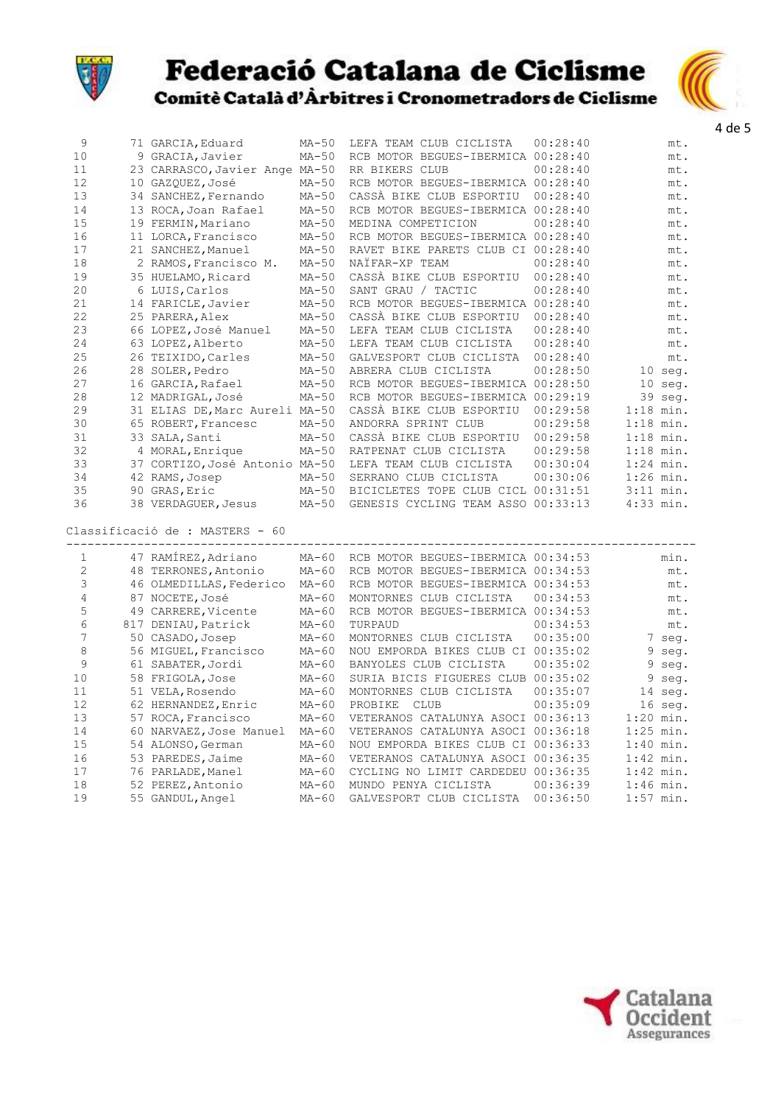



| 9              | 71 GARCIA, Eduard               | $MA-50$ | LEFA TEAM CLUB CICLISTA            | 00:28:40 | mt.         |
|----------------|---------------------------------|---------|------------------------------------|----------|-------------|
| 10             | 9 GRACIA, Javier                | $MA-50$ | RCB MOTOR BEGUES-IBERMICA 00:28:40 |          | mt.         |
| 11             | 23 CARRASCO, Javier Ange MA-50  |         | RR BIKERS CLUB                     | 00:28:40 | mt.         |
| 12             | 10 GAZQUEZ, José                | $MA-50$ | RCB MOTOR BEGUES-IBERMICA 00:28:40 |          | mt.         |
| 13             | 34 SANCHEZ, Fernando            | $MA-50$ | CASSÀ BIKE CLUB ESPORTIU           | 00:28:40 | mt.         |
| 14             | 13 ROCA, Joan Rafael            | $MA-50$ | RCB MOTOR BEGUES-IBERMICA 00:28:40 |          | mt.         |
| 15             | 19 FERMIN, Mariano              | $MA-50$ | MEDINA COMPETICION                 | 00:28:40 | mt.         |
| 16             | 11 LORCA, Francisco             | $MA-50$ | RCB MOTOR BEGUES-IBERMICA 00:28:40 |          | mt.         |
| 17             | 21 SANCHEZ, Manuel              | $MA-50$ | RAVET BIKE PARETS CLUB CI 00:28:40 |          | mt.         |
| 18             | 2 RAMOS, Francisco M.           | $MA-50$ | NAÏFAR-XP TEAM                     | 00:28:40 | mt.         |
| 19             | 35 HUELAMO, Ricard              | $MA-50$ | CASSÀ BIKE CLUB ESPORTIU           | 00:28:40 | mt.         |
| 20             | 6 LUIS, Carlos                  | $MA-50$ | SANT GRAU / TACTIC                 | 00:28:40 | mt.         |
| 21             | 14 FARICLE, Javier              | $MA-50$ | RCB MOTOR BEGUES-IBERMICA 00:28:40 |          | mt.         |
| 22             | 25 PARERA, Alex                 | $MA-50$ | CASSÀ BIKE CLUB ESPORTIU           | 00:28:40 | mt.         |
| 23             | 66 LOPEZ, José Manuel           | $MA-50$ | LEFA TEAM CLUB CICLISTA            | 00:28:40 | mt.         |
| 24             | 63 LOPEZ, Alberto               | $MA-50$ | LEFA TEAM CLUB CICLISTA            | 00:28:40 | mt.         |
| 25             | 26 TEIXIDO, Carles              | $MA-50$ | GALVESPORT CLUB CICLISTA           | 00:28:40 | mt.         |
| 26             | 28 SOLER, Pedro                 | $MA-50$ | ABRERA CLUB CICLISTA               | 00:28:50 | 10 seg.     |
| 27             | 16 GARCIA, Rafael               | $MA-50$ | RCB MOTOR BEGUES-IBERMICA 00:28:50 |          | 10 seg.     |
| 28             | 12 MADRIGAL, José               | $MA-50$ | RCB MOTOR BEGUES-IBERMICA 00:29:19 |          | 39 seg.     |
| 29             | 31 ELIAS DE, Marc Aureli MA-50  |         | CASSÀ BIKE CLUB ESPORTIU           | 00:29:58 | $1:18$ min. |
| 30             | 65 ROBERT, Francesc             | $MA-50$ | ANDORRA SPRINT CLUB                | 00:29:58 | $1:18$ min. |
| 31             | 33 SALA, Santi                  | $MA-50$ | CASSÀ BIKE CLUB ESPORTIU           | 00:29:58 | $1:18$ min. |
| 32             | 4 MORAL, Enrique                | $MA-50$ | RATPENAT CLUB CICLISTA             | 00:29:58 | $1:18$ min. |
| 33             | 37 CORTIZO, José Antonio MA-50  |         | LEFA TEAM CLUB CICLISTA            | 00:30:04 | $1:24$ min. |
| 34             | 42 RAMS, Josep                  | $MA-50$ | SERRANO CLUB CICLISTA              | 00:30:06 | $1:26$ min. |
| 35             | 90 GRAS, Eric                   | MA-50   | BICICLETES TOPE CLUB CICL 00:31:51 |          | $3:11$ min. |
| 36             | 38 VERDAGUER, Jesus             | $MA-50$ | GENESIS CYCLING TEAM ASSO 00:33:13 |          | $4:33$ min. |
|                | Classificació de : MASTERS - 60 |         |                                    |          |             |
|                |                                 |         |                                    |          |             |
| 1              | 47 RAMÍREZ, Adriano             | $MA-60$ | RCB MOTOR BEGUES-IBERMICA 00:34:53 |          | min.        |
| 2              | 48 TERRONES, Antonio            | $MA-60$ | RCB MOTOR BEGUES-IBERMICA 00:34:53 |          | mt.         |
| 3              | 46 OLMEDILLAS, Federico         | $MA-60$ | RCB MOTOR BEGUES-IBERMICA 00:34:53 |          | mt.         |
| 4              | 87 NOCETE, José                 | MA-60   | MONTORNES CLUB CICLISTA            | 00:34:53 | mt.         |
| 5              | 49 CARRERE, Vicente             | $MA-60$ | RCB MOTOR BEGUES-IBERMICA 00:34:53 |          | mt.         |
| 6              | 817 DENIAU, Patrick             | $MA-60$ | TURPAUD                            | 00:34:53 | mt.         |
| $\overline{7}$ | 50 CASADO, Josep                | $MA-60$ | MONTORNES CLUB CICLISTA            | 00:35:00 | 7 seg.      |
| 8              | 56 MIGUEL, Francisco            | $MA-60$ | NOU EMPORDA BIKES CLUB CI 00:35:02 |          | 9 seg.      |
| 9              | 61 SABATER, Jordi               | $MA-60$ | BANYOLES CLUB CICLISTA             | 00:35:02 | 9 seg.      |
| 10             | 58 FRIGOLA, Jose                | $MA-60$ | SURIA BICIS FIGUERES CLUB 00:35:02 |          | 9 seg.      |
| 11             | 51 VELA, Rosendo                | $MA-60$ | MONTORNES CLUB CICLISTA            | 00:35:07 | 14 seq.     |
| 12             | 62 HERNANDEZ, Enric             | $MA-60$ | PROBIKE<br><b>CLUB</b>             | 00:35:09 | $16$ seq.   |
| 13             | 57 ROCA, Francisco              | $MA-60$ | VETERANOS CATALUNYA ASOCI 00:36:13 |          | $1:20$ min. |
| 14             | 60 NARVAEZ, Jose Manuel         | $MA-60$ | VETERANOS CATALUNYA ASOCI 00:36:18 |          | $1:25$ min. |
| 15             | 54 ALONSO, German               | $MA-60$ | NOU EMPORDA BIKES CLUB CI 00:36:33 |          | $1:40$ min. |
| 16             | 53 PAREDES, Jaime               | $MA-60$ | VETERANOS CATALUNYA ASOCI 00:36:35 |          | $1:42$ min. |
| 17             | 76 PARLADE, Manel               | $MA-60$ | CYCLING NO LIMIT CARDEDEU 00:36:35 |          | $1:42$ min. |
| 18             | 52 PEREZ, Antonio               | $MA-60$ | MUNDO PENYA CICLISTA               | 00:36:39 | $1:46$ min. |
| 19             | 55 GANDUL, Angel                | $MA-60$ | GALVESPORT CLUB CICLISTA           | 00:36:50 | $1:57$ min. |